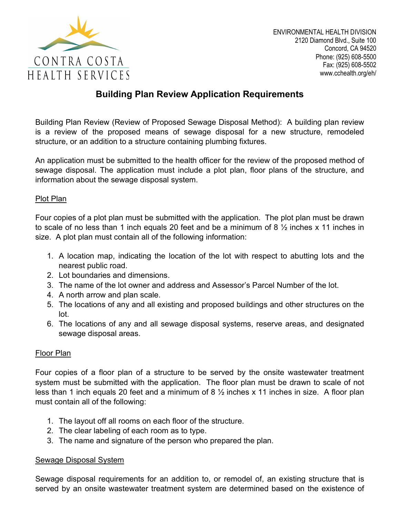

## Building Plan Review Application Requirements

Building Plan Review (Review of Proposed Sewage Disposal Method): A building plan review is a review of the proposed means of sewage disposal for a new structure, remodeled structure, or an addition to a structure containing plumbing fixtures.

An application must be submitted to the health officer for the review of the proposed method of sewage disposal. The application must include a plot plan, floor plans of the structure, and information about the sewage disposal system.

## Plot Plan

Four copies of a plot plan must be submitted with the application. The plot plan must be drawn to scale of no less than 1 inch equals 20 feet and be a minimum of 8  $\frac{1}{2}$  inches x 11 inches in size. A plot plan must contain all of the following information:

- 1. A location map, indicating the location of the lot with respect to abutting lots and the nearest public road.
- 2. Lot boundaries and dimensions.
- 3. The name of the lot owner and address and Assessor's Parcel Number of the lot.
- 4. A north arrow and plan scale.
- 5. The locations of any and all existing and proposed buildings and other structures on the lot.
- 6. The locations of any and all sewage disposal systems, reserve areas, and designated sewage disposal areas.

## Floor Plan

Four copies of a floor plan of a structure to be served by the onsite wastewater treatment system must be submitted with the application. The floor plan must be drawn to scale of not less than 1 inch equals 20 feet and a minimum of 8  $\frac{1}{2}$  inches x 11 inches in size. A floor plan must contain all of the following:

- 1. The layout off all rooms on each floor of the structure.
- 2. The clear labeling of each room as to type.
- 3. The name and signature of the person who prepared the plan.

## Sewage Disposal System

Sewage disposal requirements for an addition to, or remodel of, an existing structure that is served by an onsite wastewater treatment system are determined based on the existence of